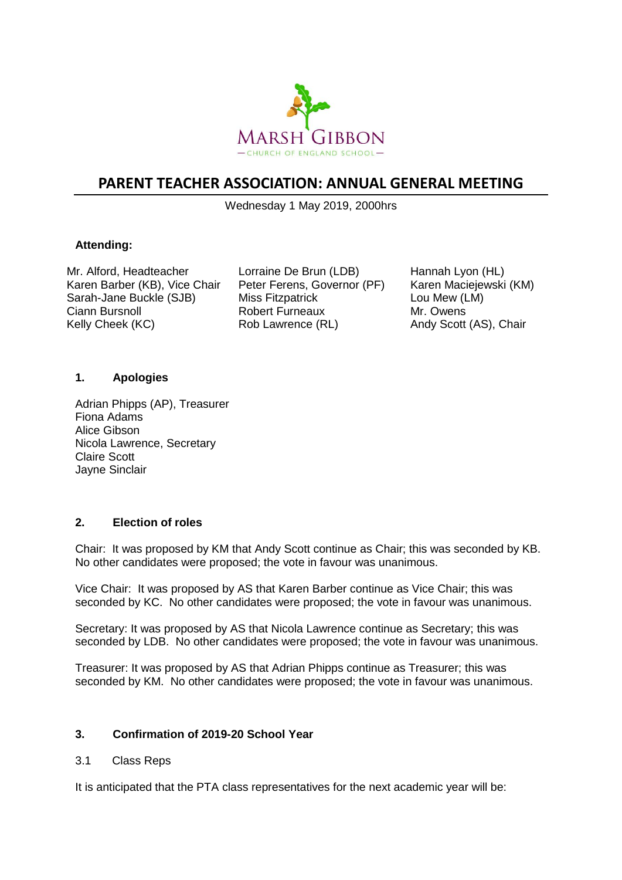

# **PARENT TEACHER ASSOCIATION: ANNUAL GENERAL MEETING**

Wednesday 1 May 2019, 2000hrs

# **Attending:**

Mr. Alford, Headteacher Karen Barber (KB), Vice Chair Sarah-Jane Buckle (SJB) Ciann Bursnoll Kelly Cheek (KC)

Lorraine De Brun (LDB) Peter Ferens, Governor (PF) Miss Fitzpatrick Robert Furneaux Rob Lawrence (RL)

Hannah Lyon (HL) Karen Maciejewski (KM) Lou Mew (LM) Mr. Owens Andy Scott (AS), Chair

## **1. Apologies**

Adrian Phipps (AP), Treasurer Fiona Adams Alice Gibson Nicola Lawrence, Secretary Claire Scott Jayne Sinclair

# **2. Election of roles**

Chair: It was proposed by KM that Andy Scott continue as Chair; this was seconded by KB. No other candidates were proposed; the vote in favour was unanimous.

Vice Chair: It was proposed by AS that Karen Barber continue as Vice Chair; this was seconded by KC. No other candidates were proposed; the vote in favour was unanimous.

Secretary: It was proposed by AS that Nicola Lawrence continue as Secretary; this was seconded by LDB. No other candidates were proposed; the vote in favour was unanimous.

Treasurer: It was proposed by AS that Adrian Phipps continue as Treasurer; this was seconded by KM. No other candidates were proposed; the vote in favour was unanimous.

## **3. Confirmation of 2019-20 School Year**

## 3.1 Class Reps

It is anticipated that the PTA class representatives for the next academic year will be: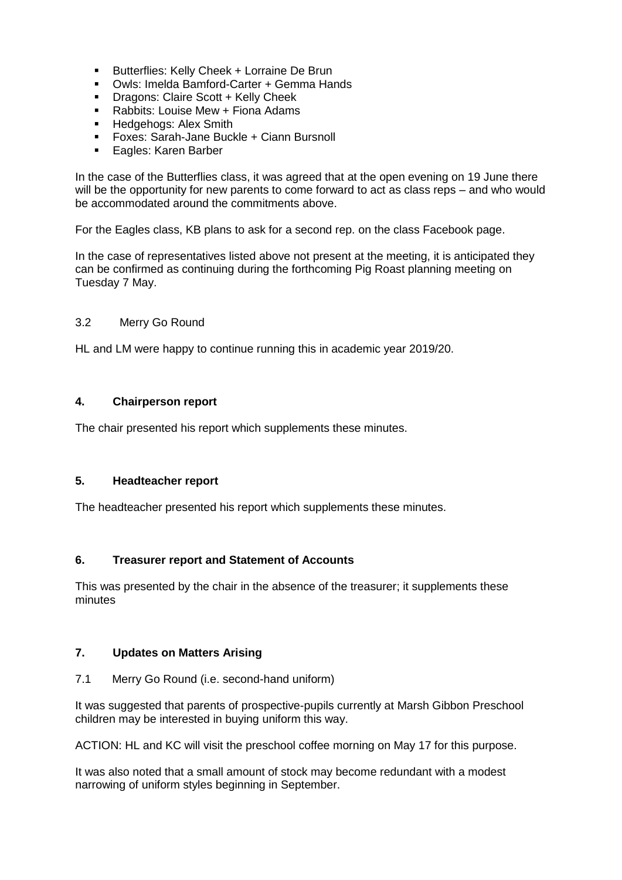- Butterflies: Kelly Cheek + Lorraine De Brun
- Owls: Imelda Bamford-Carter + Gemma Hands
- Dragons: Claire Scott + Kelly Cheek<br>■ Rabbits: Louise Mew + Fiona Adams
- Rabbits: Louise Mew + Fiona Adams<br>■ Hedgehogs: Alex Smith
- Hedgehogs: Alex Smith<br>■ Foxes: Sarah-Jane Bucl
- Foxes: Sarah-Jane Buckle + Ciann Bursnoll
- Eagles: Karen Barber

In the case of the Butterflies class, it was agreed that at the open evening on 19 June there will be the opportunity for new parents to come forward to act as class reps – and who would be accommodated around the commitments above.

For the Eagles class, KB plans to ask for a second rep. on the class Facebook page.

In the case of representatives listed above not present at the meeting, it is anticipated they can be confirmed as continuing during the forthcoming Pig Roast planning meeting on Tuesday 7 May.

## 3.2 Merry Go Round

HL and LM were happy to continue running this in academic year 2019/20.

## **4. Chairperson report**

The chair presented his report which supplements these minutes.

#### **5. Headteacher report**

The headteacher presented his report which supplements these minutes.

## **6. Treasurer report and Statement of Accounts**

This was presented by the chair in the absence of the treasurer; it supplements these minutes

## **7. Updates on Matters Arising**

7.1 Merry Go Round (i.e. second-hand uniform)

It was suggested that parents of prospective-pupils currently at Marsh Gibbon Preschool children may be interested in buying uniform this way.

ACTION: HL and KC will visit the preschool coffee morning on May 17 for this purpose.

It was also noted that a small amount of stock may become redundant with a modest narrowing of uniform styles beginning in September.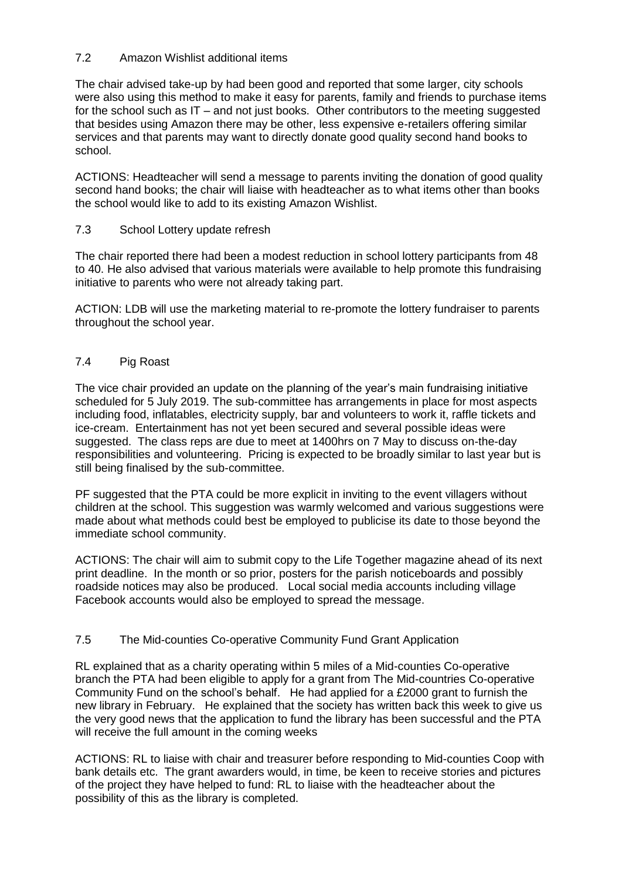# 7.2 Amazon Wishlist additional items

The chair advised take-up by had been good and reported that some larger, city schools were also using this method to make it easy for parents, family and friends to purchase items for the school such as  $IT -$  and not just books. Other contributors to the meeting suggested that besides using Amazon there may be other, less expensive e-retailers offering similar services and that parents may want to directly donate good quality second hand books to school.

ACTIONS: Headteacher will send a message to parents inviting the donation of good quality second hand books; the chair will liaise with headteacher as to what items other than books the school would like to add to its existing Amazon Wishlist.

# 7.3 School Lottery update refresh

The chair reported there had been a modest reduction in school lottery participants from 48 to 40. He also advised that various materials were available to help promote this fundraising initiative to parents who were not already taking part.

ACTION: LDB will use the marketing material to re-promote the lottery fundraiser to parents throughout the school year.

# 7.4 Pig Roast

The vice chair provided an update on the planning of the year's main fundraising initiative scheduled for 5 July 2019. The sub-committee has arrangements in place for most aspects including food, inflatables, electricity supply, bar and volunteers to work it, raffle tickets and ice-cream. Entertainment has not yet been secured and several possible ideas were suggested. The class reps are due to meet at 1400hrs on 7 May to discuss on-the-day responsibilities and volunteering. Pricing is expected to be broadly similar to last year but is still being finalised by the sub-committee.

PF suggested that the PTA could be more explicit in inviting to the event villagers without children at the school. This suggestion was warmly welcomed and various suggestions were made about what methods could best be employed to publicise its date to those beyond the immediate school community.

ACTIONS: The chair will aim to submit copy to the Life Together magazine ahead of its next print deadline. In the month or so prior, posters for the parish noticeboards and possibly roadside notices may also be produced. Local social media accounts including village Facebook accounts would also be employed to spread the message.

# 7.5 The Mid-counties Co-operative Community Fund Grant Application

RL explained that as a charity operating within 5 miles of a Mid-counties Co-operative branch the PTA had been eligible to apply for a grant from The Mid-countries Co-operative Community Fund on the school's behalf. He had applied for a £2000 grant to furnish the new library in February. He explained that the society has written back this week to give us the very good news that the application to fund the library has been successful and the PTA will receive the full amount in the coming weeks

ACTIONS: RL to liaise with chair and treasurer before responding to Mid-counties Coop with bank details etc. The grant awarders would, in time, be keen to receive stories and pictures of the project they have helped to fund: RL to liaise with the headteacher about the possibility of this as the library is completed.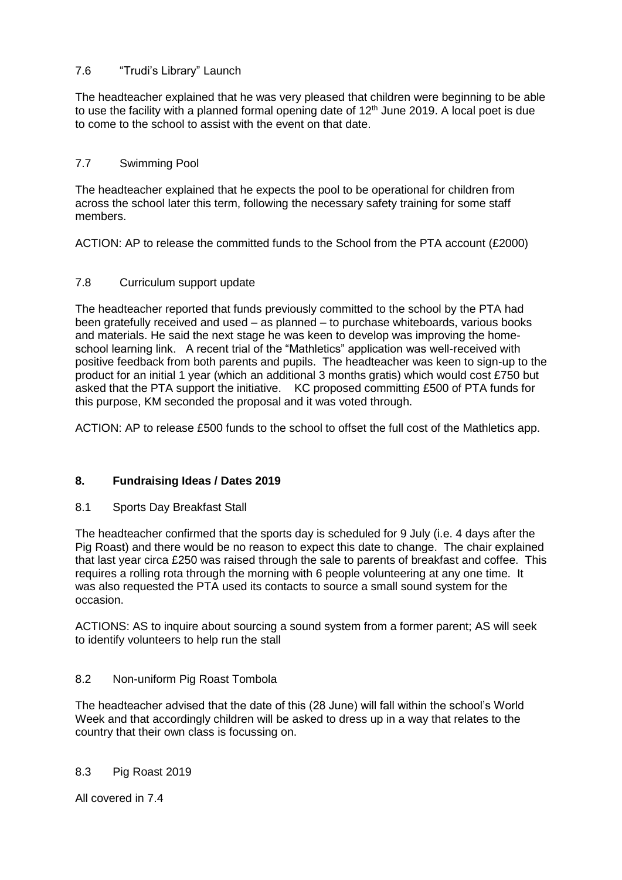# 7.6 "Trudi's Library" Launch

The headteacher explained that he was very pleased that children were beginning to be able to use the facility with a planned formal opening date of  $12<sup>th</sup>$  June 2019. A local poet is due to come to the school to assist with the event on that date.

# 7.7 Swimming Pool

The headteacher explained that he expects the pool to be operational for children from across the school later this term, following the necessary safety training for some staff members.

ACTION: AP to release the committed funds to the School from the PTA account (£2000)

# 7.8 Curriculum support update

The headteacher reported that funds previously committed to the school by the PTA had been gratefully received and used – as planned – to purchase whiteboards, various books and materials. He said the next stage he was keen to develop was improving the homeschool learning link. A recent trial of the "Mathletics" application was well-received with positive feedback from both parents and pupils. The headteacher was keen to sign-up to the product for an initial 1 year (which an additional 3 months gratis) which would cost £750 but asked that the PTA support the initiative. KC proposed committing £500 of PTA funds for this purpose, KM seconded the proposal and it was voted through.

ACTION: AP to release £500 funds to the school to offset the full cost of the Mathletics app.

# **8. Fundraising Ideas / Dates 2019**

## 8.1 Sports Day Breakfast Stall

The headteacher confirmed that the sports day is scheduled for 9 July (i.e. 4 days after the Pig Roast) and there would be no reason to expect this date to change. The chair explained that last year circa £250 was raised through the sale to parents of breakfast and coffee. This requires a rolling rota through the morning with 6 people volunteering at any one time. It was also requested the PTA used its contacts to source a small sound system for the occasion.

ACTIONS: AS to inquire about sourcing a sound system from a former parent; AS will seek to identify volunteers to help run the stall

## 8.2 Non-uniform Pig Roast Tombola

The headteacher advised that the date of this (28 June) will fall within the school's World Week and that accordingly children will be asked to dress up in a way that relates to the country that their own class is focussing on.

## 8.3 Pig Roast 2019

All covered in 7.4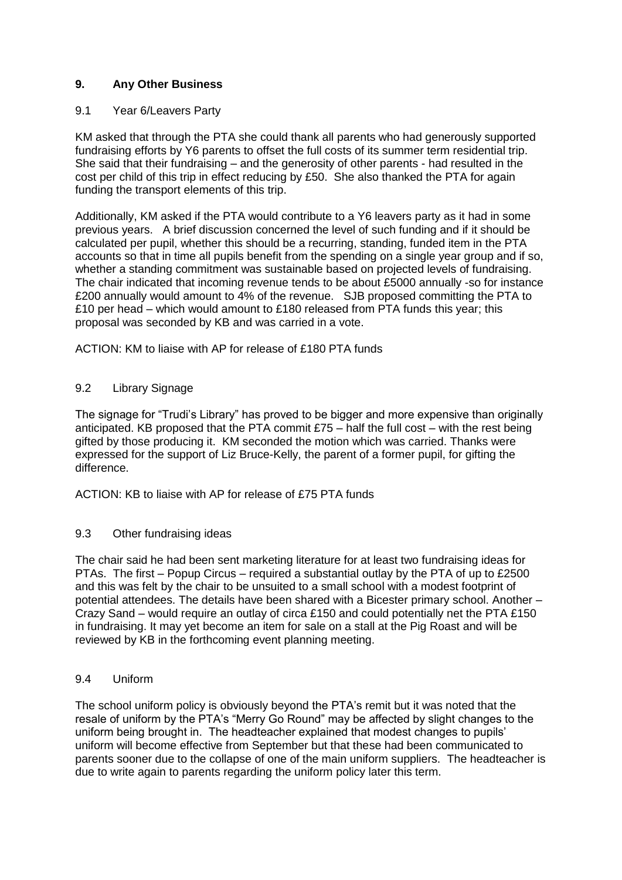# **9. Any Other Business**

#### 9.1 Year 6/Leavers Party

KM asked that through the PTA she could thank all parents who had generously supported fundraising efforts by Y6 parents to offset the full costs of its summer term residential trip. She said that their fundraising – and the generosity of other parents - had resulted in the cost per child of this trip in effect reducing by £50. She also thanked the PTA for again funding the transport elements of this trip.

Additionally, KM asked if the PTA would contribute to a Y6 leavers party as it had in some previous years. A brief discussion concerned the level of such funding and if it should be calculated per pupil, whether this should be a recurring, standing, funded item in the PTA accounts so that in time all pupils benefit from the spending on a single year group and if so, whether a standing commitment was sustainable based on projected levels of fundraising. The chair indicated that incoming revenue tends to be about £5000 annually -so for instance £200 annually would amount to 4% of the revenue. SJB proposed committing the PTA to £10 per head – which would amount to £180 released from PTA funds this year; this proposal was seconded by KB and was carried in a vote.

ACTION: KM to liaise with AP for release of £180 PTA funds

## 9.2 Library Signage

The signage for "Trudi's Library" has proved to be bigger and more expensive than originally anticipated. KB proposed that the PTA commit  $£75 -$  half the full cost – with the rest being gifted by those producing it. KM seconded the motion which was carried. Thanks were expressed for the support of Liz Bruce-Kelly, the parent of a former pupil, for gifting the difference.

ACTION: KB to liaise with AP for release of £75 PTA funds

#### 9.3 Other fundraising ideas

The chair said he had been sent marketing literature for at least two fundraising ideas for PTAs. The first – Popup Circus – required a substantial outlay by the PTA of up to £2500 and this was felt by the chair to be unsuited to a small school with a modest footprint of potential attendees. The details have been shared with a Bicester primary school. Another – Crazy Sand – would require an outlay of circa £150 and could potentially net the PTA £150 in fundraising. It may yet become an item for sale on a stall at the Pig Roast and will be reviewed by KB in the forthcoming event planning meeting.

#### 9.4 Uniform

The school uniform policy is obviously beyond the PTA's remit but it was noted that the resale of uniform by the PTA's "Merry Go Round" may be affected by slight changes to the uniform being brought in. The headteacher explained that modest changes to pupils' uniform will become effective from September but that these had been communicated to parents sooner due to the collapse of one of the main uniform suppliers. The headteacher is due to write again to parents regarding the uniform policy later this term.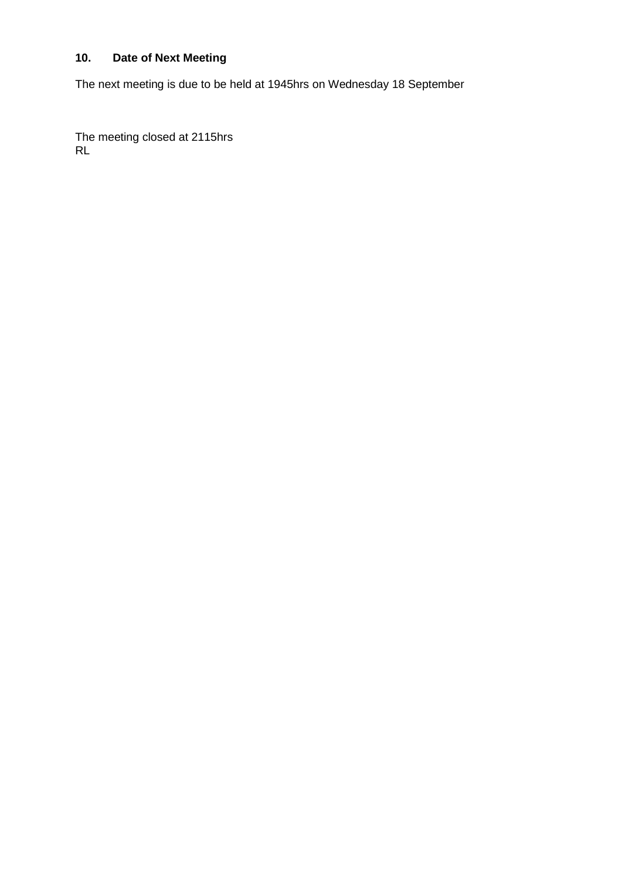# **10. Date of Next Meeting**

The next meeting is due to be held at 1945hrs on Wednesday 18 September

The meeting closed at 2115hrs RL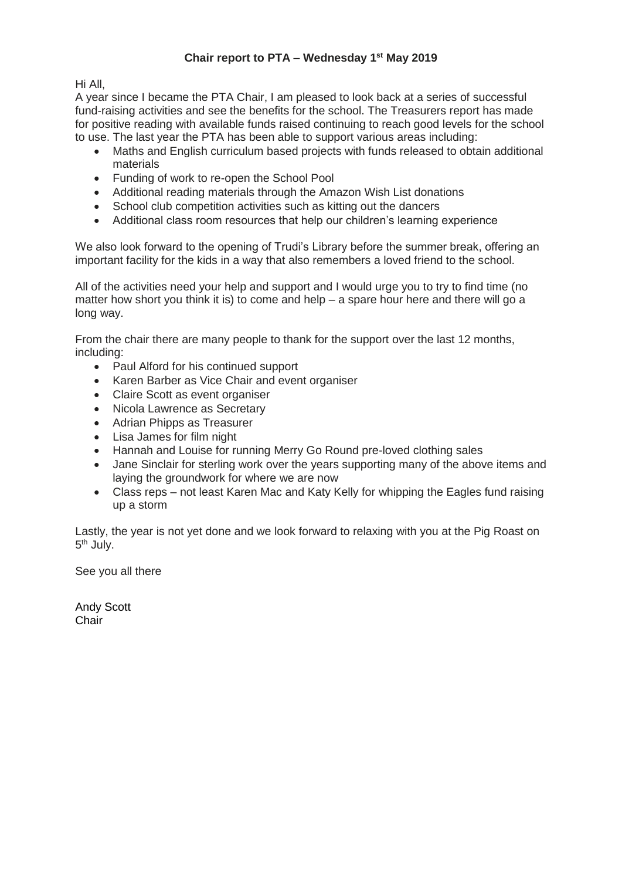# **Chair report to PTA – Wednesday 1 st May 2019**

Hi All,

A year since I became the PTA Chair, I am pleased to look back at a series of successful fund-raising activities and see the benefits for the school. The Treasurers report has made for positive reading with available funds raised continuing to reach good levels for the school to use. The last year the PTA has been able to support various areas including:

- Maths and English curriculum based projects with funds released to obtain additional materials
- Funding of work to re-open the School Pool
- Additional reading materials through the Amazon Wish List donations
- School club competition activities such as kitting out the dancers
- Additional class room resources that help our children's learning experience

We also look forward to the opening of Trudi's Library before the summer break, offering an important facility for the kids in a way that also remembers a loved friend to the school.

All of the activities need your help and support and I would urge you to try to find time (no matter how short you think it is) to come and help – a spare hour here and there will go a long way.

From the chair there are many people to thank for the support over the last 12 months, including:

- Paul Alford for his continued support
- Karen Barber as Vice Chair and event organiser
- Claire Scott as event organiser
- Nicola Lawrence as Secretary
- Adrian Phipps as Treasurer
- Lisa James for film night
- Hannah and Louise for running Merry Go Round pre-loved clothing sales
- Jane Sinclair for sterling work over the years supporting many of the above items and laying the groundwork for where we are now
- Class reps not least Karen Mac and Katy Kelly for whipping the Eagles fund raising up a storm

Lastly, the year is not yet done and we look forward to relaxing with you at the Pig Roast on 5<sup>th</sup> July.

See you all there

Andy Scott **Chair**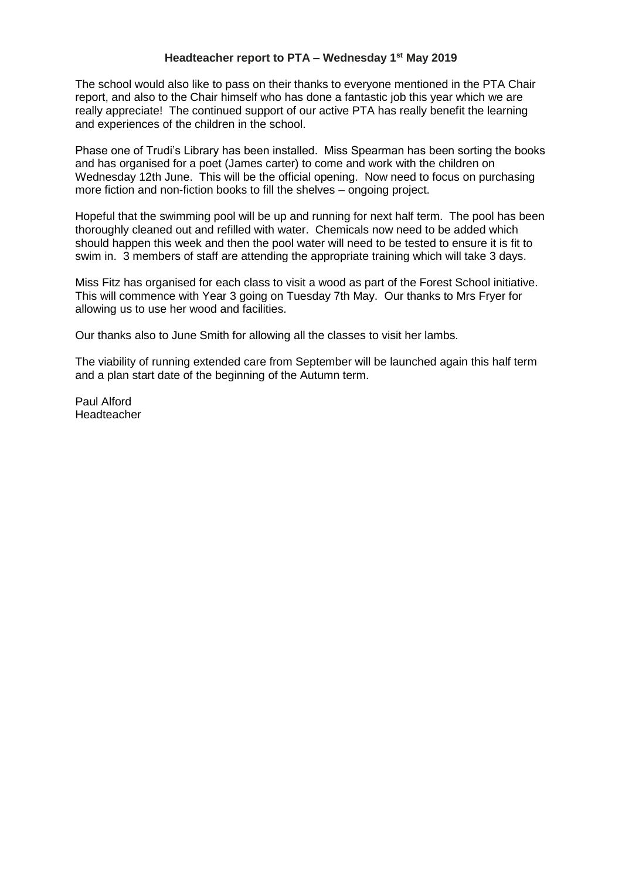#### **Headteacher report to PTA – Wednesday 1 st May 2019**

The school would also like to pass on their thanks to everyone mentioned in the PTA Chair report, and also to the Chair himself who has done a fantastic job this year which we are really appreciate! The continued support of our active PTA has really benefit the learning and experiences of the children in the school.

Phase one of Trudi's Library has been installed. Miss Spearman has been sorting the books and has organised for a poet (James carter) to come and work with the children on Wednesday 12th June. This will be the official opening. Now need to focus on purchasing more fiction and non-fiction books to fill the shelves – ongoing project.

Hopeful that the swimming pool will be up and running for next half term. The pool has been thoroughly cleaned out and refilled with water. Chemicals now need to be added which should happen this week and then the pool water will need to be tested to ensure it is fit to swim in. 3 members of staff are attending the appropriate training which will take 3 days.

Miss Fitz has organised for each class to visit a wood as part of the Forest School initiative. This will commence with Year 3 going on Tuesday 7th May. Our thanks to Mrs Fryer for allowing us to use her wood and facilities.

Our thanks also to June Smith for allowing all the classes to visit her lambs.

The viability of running extended care from September will be launched again this half term and a plan start date of the beginning of the Autumn term.

Paul Alford Headteacher